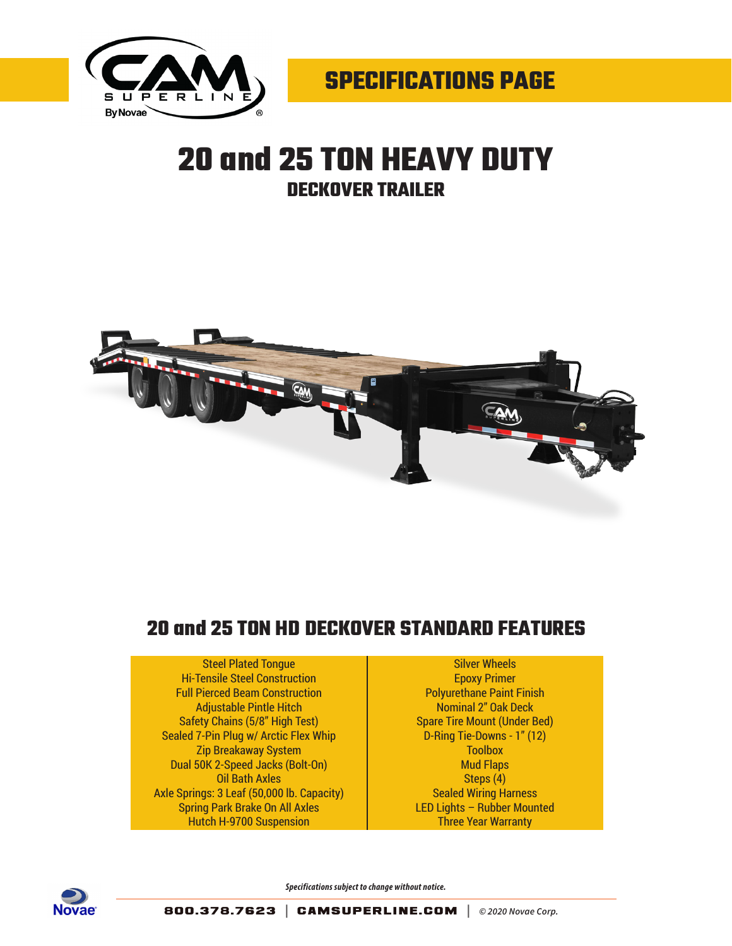

## **20 and 25 TON HEAVY DUTY DECKOVER TRAILER**



## **20 and 25 TON HD DECKOVER STANDARD FEATURES**

## Steel Plated Tongue

Hi-Tensile Steel Construction Full Pierced Beam Construction Adjustable Pintle Hitch Safety Chains (5/8" High Test) Sealed 7-Pin Plug w/ Arctic Flex Whip Zip Breakaway System Dual 50K 2-Speed Jacks (Bolt-On) Oil Bath Axles Axle Springs: 3 Leaf (50,000 lb. Capacity) Spring Park Brake On All Axles Hutch H-9700 Suspension

Silver Wheels Epoxy Primer Polyurethane Paint Finish Nominal 2" Oak Deck Spare Tire Mount (Under Bed) D-Ring Tie-Downs - 1" (12) **Toolbox** Mud Flaps Steps (4) Sealed Wiring Harness LED Lights – Rubber Mounted Three Year Warranty



*Specifications subject to change without notice.*